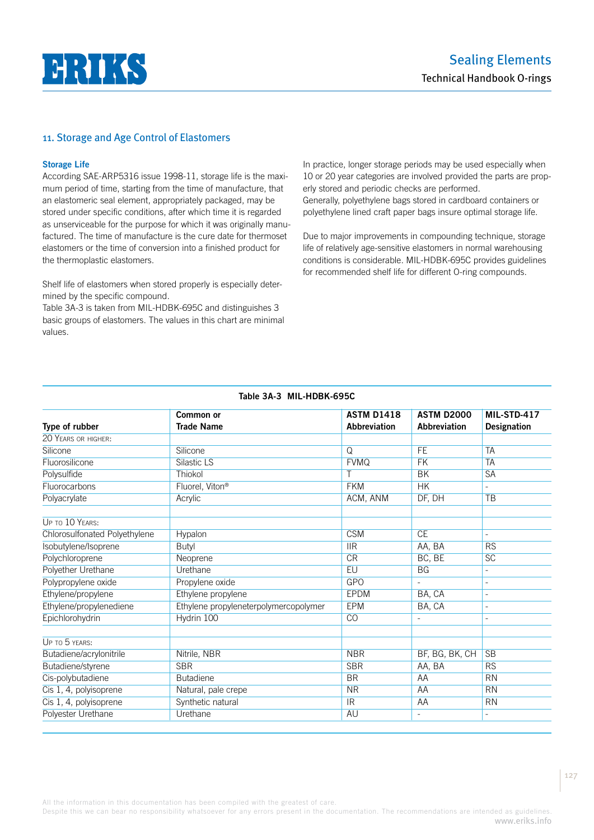

# 11. Storage and Age Control of Elastomers

## **Storage Life**

According SAE-ARP5316 issue 1998-11, storage life is the maximum period of time, starting from the time of manufacture, that an elastomeric seal element, appropriately packaged, may be stored under specific conditions, after which time it is regarded as unserviceable for the purpose for which it was originally manufactured. The time of manufacture is the cure date for thermoset elastomers or the time of conversion into a finished product for the thermoplastic elastomers.

Shelf life of elastomers when stored properly is especially determined by the specific compound.

Table 3A-3 is taken from MIL-HDBK-695C and distinguishes 3 basic groups of elastomers. The values in this chart are minimal values.

In practice, longer storage periods may be used especially when 10 or 20 year categories are involved provided the parts are properly stored and periodic checks are performed.

Generally, polyethylene bags stored in cardboard containers or polyethylene lined craft paper bags insure optimal storage life.

Due to major improvements in compounding technique, storage life of relatively age-sensitive elastomers in normal warehousing conditions is considerable. MIL-HDBK-695C provides guidelines for recommended shelf life for different O-ring compounds.

|                               | Common or                             | <b>ASTM D1418</b>   | <b>ASTM D2000</b>        | MIL-STD-417              |
|-------------------------------|---------------------------------------|---------------------|--------------------------|--------------------------|
| Type of rubber                | <b>Trade Name</b>                     | <b>Abbreviation</b> | Abbreviation             | Designation              |
| 20 YEARS OR HIGHER:           |                                       |                     |                          |                          |
| Silicone                      | Silicone                              | Q                   | <b>FE</b>                | <b>TA</b>                |
| Fluorosilicone                | Silastic LS                           | <b>FVMQ</b>         | <b>FK</b>                | <b>TA</b>                |
| Polysulfide                   | Thiokol                               | $\top$              | BK                       | <b>SA</b>                |
| Fluorocarbons                 | Fluorel, Viton <sup>®</sup>           | <b>FKM</b>          | <b>HK</b>                | L.                       |
| Polyacrylate                  | Acrylic                               | ACM, ANM            | DF, DH                   | TB                       |
| UP TO 10 YEARS:               |                                       |                     |                          |                          |
| Chlorosulfonated Polyethylene | Hypalon                               | <b>CSM</b>          | <b>CE</b>                |                          |
| Isobutylene/Isoprene          | Butyl                                 | <b>IIR</b>          | AA, BA                   | <b>RS</b>                |
| Polychloroprene               | Neoprene                              | <b>CR</b>           | BC, BE                   | <b>SC</b>                |
| Polyether Urethane            | Urethane                              | <b>EU</b>           | <b>BG</b>                | L,                       |
| Polypropylene oxide           | Propylene oxide                       | GPO                 |                          |                          |
| Ethylene/propylene            | Ethylene propylene                    | EPDM                | BA, CA                   | $\overline{a}$           |
| Ethylene/propylenediene       | Ethylene propyleneterpolymercopolymer | <b>EPM</b>          | BA, CA                   | $\overline{\phantom{a}}$ |
| Epichlorohydrin               | Hydrin 100                            | CO                  |                          |                          |
| UP TO 5 YEARS:                |                                       |                     |                          |                          |
| Butadiene/acrylonitrile       | Nitrile, NBR                          | <b>NBR</b>          | BF, BG, BK, CH           | <b>SB</b>                |
| Butadiene/styrene             | <b>SBR</b>                            | <b>SBR</b>          | AA, BA                   | <b>RS</b>                |
| Cis-polybutadiene             | <b>Butadiene</b>                      | <b>BR</b>           | AA                       | <b>RN</b>                |
| Cis 1, 4, polyisoprene        | Natural, pale crepe                   | <b>NR</b>           | AA                       | <b>RN</b>                |
| Cis 1, 4, polyisoprene        | Synthetic natural                     | IR.                 | AA                       | <b>RN</b>                |
| Polyester Urethane            | Urethane                              | AU                  | $\overline{\phantom{a}}$ | $\overline{\phantom{a}}$ |

# **Table 3A-3 MIL-HDBK-695C**

All the information in this documentation has been compiled with the greatest of care.

Despite this we can bear no responsibility whatsoever for any errors present in the documentation. The recommendations are intended as guidelines. www.eriks.info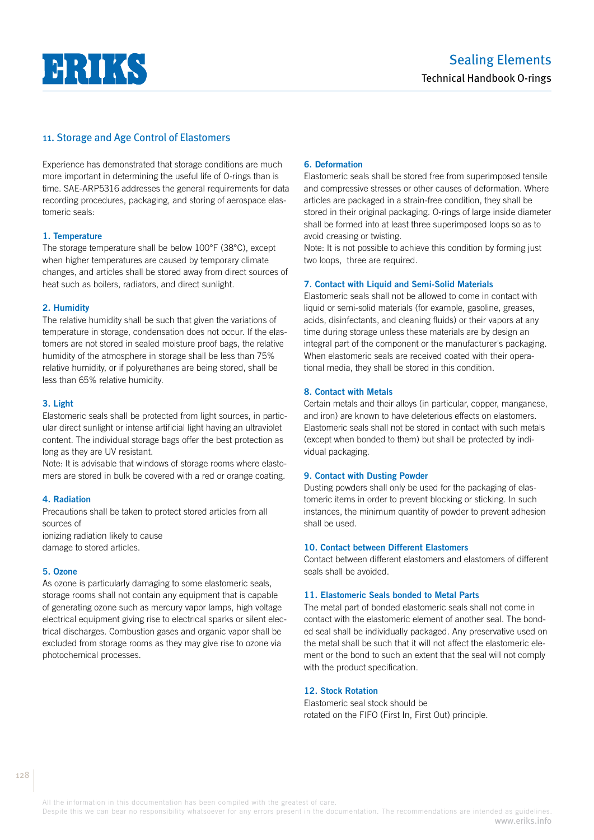# **HRIKS**

# 11. Storage and Age Control of Elastomers

Experience has demonstrated that storage conditions are much more important in determining the useful life of O-rings than is time. SAE-ARP5316 addresses the general requirements for data recording procedures, packaging, and storing of aerospace elastomeric seals:

## **1. Temperature**

The storage temperature shall be below 100°F (38°C), except when higher temperatures are caused by temporary climate changes, and articles shall be stored away from direct sources of heat such as boilers, radiators, and direct sunlight.

## **2. Humidity**

The relative humidity shall be such that given the variations of temperature in storage, condensation does not occur. If the elastomers are not stored in sealed moisture proof bags, the relative humidity of the atmosphere in storage shall be less than 75% relative humidity, or if polyurethanes are being stored, shall be less than 65% relative humidity.

## **3. Light**

Elastomeric seals shall be protected from light sources, in particular direct sunlight or intense artificial light having an ultraviolet content. The individual storage bags offer the best protection as long as they are UV resistant.

Note: It is advisable that windows of storage rooms where elastomers are stored in bulk be covered with a red or orange coating.

## **4. Radiation**

Precautions shall be taken to protect stored articles from all sources of ionizing radiation likely to cause damage to stored articles.

#### **5. Ozone**

As ozone is particularly damaging to some elastomeric seals, storage rooms shall not contain any equipment that is capable of generating ozone such as mercury vapor lamps, high voltage electrical equipment giving rise to electrical sparks or silent electrical discharges. Combustion gases and organic vapor shall be excluded from storage rooms as they may give rise to ozone via photochemical processes.

#### **6. Deformation**

Elastomeric seals shall be stored free from superimposed tensile and compressive stresses or other causes of deformation. Where articles are packaged in a strain-free condition, they shall be stored in their original packaging. O-rings of large inside diameter shall be formed into at least three superimposed loops so as to avoid creasing or twisting.

Note: It is not possible to achieve this condition by forming just two loops, three are required.

## **7. Contact with Liquid and Semi-Solid Materials**

Elastomeric seals shall not be allowed to come in contact with liquid or semi-solid materials (for example, gasoline, greases, acids, disinfectants, and cleaning fluids) or their vapors at any time during storage unless these materials are by design an integral part of the component or the manufacturer's packaging. When elastomeric seals are received coated with their operational media, they shall be stored in this condition.

#### **8. Contact with Metals**

Certain metals and their alloys (in particular, copper, manganese, and iron) are known to have deleterious effects on elastomers. Elastomeric seals shall not be stored in contact with such metals (except when bonded to them) but shall be protected by individual packaging.

#### **9. Contact with Dusting Powder**

Dusting powders shall only be used for the packaging of elastomeric items in order to prevent blocking or sticking. In such instances, the minimum quantity of powder to prevent adhesion shall be used.

#### **10. Contact between Different Elastomers**

Contact between different elastomers and elastomers of different seals shall be avoided.

## **11. Elastomeric Seals bonded to Metal Parts**

The metal part of bonded elastomeric seals shall not come in contact with the elastomeric element of another seal. The bonded seal shall be individually packaged. Any preservative used on the metal shall be such that it will not affect the elastomeric element or the bond to such an extent that the seal will not comply with the product specification.

## **12. Stock Rotation**

Elastomeric seal stock should be rotated on the FIFO (First In, First Out) principle.

All the information in this documentation has been compiled with the greatest of care.

Despite this we can bear no responsibility whatsoever for any errors present in the documentation. The recommendations are intended as guidelines. www.eriks.info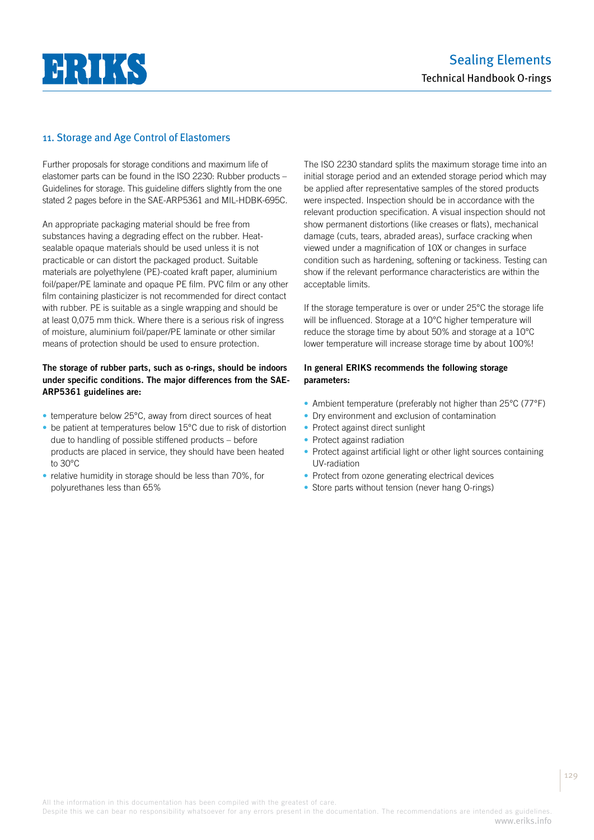# **HHIK**

# 11. Storage and Age Control of Elastomers

Further proposals for storage conditions and maximum life of elastomer parts can be found in the ISO 2230: Rubber products – Guidelines for storage. This guideline differs slightly from the one stated 2 pages before in the SAE-ARP5361 and MIL-HDBK-695C.

An appropriate packaging material should be free from substances having a degrading effect on the rubber. Heatsealable opaque materials should be used unless it is not practicable or can distort the packaged product. Suitable materials are polyethylene (PE)-coated kraft paper, aluminium foil/paper/PE laminate and opaque PE film. PVC film or any other film containing plasticizer is not recommended for direct contact with rubber. PE is suitable as a single wrapping and should be at least 0,075 mm thick. Where there is a serious risk of ingress of moisture, aluminium foil/paper/PE laminate or other similar means of protection should be used to ensure protection.

# **The storage of rubber parts, such as o-rings, should be indoors under specific conditions. The major differences from the SAE-ARP5361 guidelines are:**

- $\bullet$  temperature below 25°C, away from direct sources of heat
- be patient at temperatures below 15°C due to risk of distortion due to handling of possible stiffened products – before products are placed in service, they should have been heated to 30°C
- relative humidity in storage should be less than 70%, for polyurethanes less than 65%

The ISO 2230 standard splits the maximum storage time into an initial storage period and an extended storage period which may be applied after representative samples of the stored products were inspected. Inspection should be in accordance with the relevant production specification. A visual inspection should not show permanent distortions (like creases or flats), mechanical damage (cuts, tears, abraded areas), surface cracking when viewed under a magnification of 10X or changes in surface condition such as hardening, softening or tackiness. Testing can show if the relevant performance characteristics are within the acceptable limits.

If the storage temperature is over or under 25°C the storage life will be influenced. Storage at a 10°C higher temperature will reduce the storage time by about 50% and storage at a 10°C lower temperature will increase storage time by about 100%!

# **In general ERIKS recommends the following storage parameters:**

- Ambient temperature (preferably not higher than 25°C (77°F)
- Dry environment and exclusion of contamination
- Protect against direct sunlight
- Protect against radiation
- Protect against artificial light or other light sources containing UV-radiation
- Protect from ozone generating electrical devices
- Store parts without tension (never hang O-rings)

All the information in this documentation has been compiled with the greatest of care.

Despite this we can bear no responsibility whatsoever for any errors present in the documentation. The recommendations are intended as guidelines. www.eriks.info